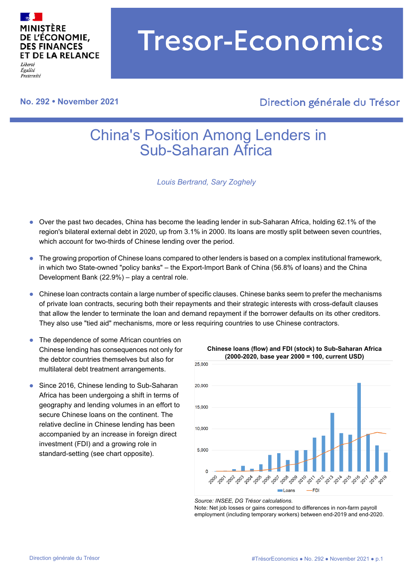

Égalité Fraternité

# **No. 292 November 2021**

# **Tresor-Economics**

# Direction générale du Trésor

# China's Position Among Lenders in Sub-Saharan Africa

*Louis Bertrand, Sary Zoghely*

- Over the past two decades, China has become the leading lender in sub-Saharan Africa, holding 62.1% of the region's bilateral external debt in 2020, up from 3.1% in 2000. Its loans are mostly split between seven countries, which account for two-thirds of Chinese lending over the period.
- The growing proportion of Chinese loans compared to other lenders is based on a complex institutional framework, in which two State-owned "policy banks" – the Export-Import Bank of China (56.8% of loans) and the China Development Bank (22.9%) – play a central role.
- Chinese loan contracts contain a large number of specific clauses. Chinese banks seem to prefer the mechanisms of private loan contracts, securing both their repayments and their strategic interests with cross-default clauses that allow the lender to terminate the loan and demand repayment if the borrower defaults on its other creditors. They also use "tied aid" mechanisms, more or less requiring countries to use Chinese contractors.
- The dependence of some African countries on Chinese lending has consequences not only for the debtor countries themselves but also for multilateral debt treatment arrangements.
- Since 2016, Chinese lending to Sub-Saharan Africa has been undergoing a shift in terms of geography and lending volumes in an effort to secure Chinese loans on the continent. The relative decline in Chinese lending has been accompanied by an increase in foreign direct investment (FDI) and a growing role in standard-setting (see chart opposite).



**Chinese loans (flow) and FDI (stock) to Sub-Saharan Africa** 

*Source: INSEE, DG Trésor calculations.* Note: Net job losses or gains correspond to differences in non-farm payroll employment (including temporary workers) between end-2019 and end-2020.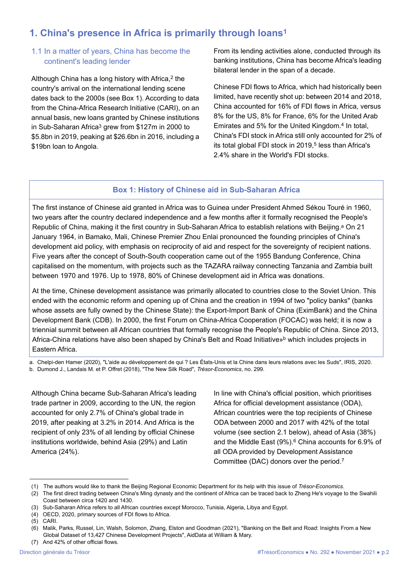# **1. China's presence in Africa is primarily through loans1**

# 1.1 In a matter of years, China has become the continent's leading lender

Although China has a long history with Africa,<sup>2</sup> the country's arrival on the international lending scene dates back to the 2000s (see Box 1). According to data from the China-Africa Research Initiative (CARI), on an annual basis, new loans granted by Chinese institutions in Sub-Saharan Africa<sup>3</sup> grew from \$127m in 2000 to \$5.8bn in 2019, peaking at \$26.6bn in 2016, including a \$19bn loan to Angola.

From its lending activities alone, conducted through its banking institutions, China has become Africa's leading bilateral lender in the span of a decade.

Chinese FDI flows to Africa, which had historically been limited, have recently shot up: between 2014 and 2018, China accounted for 16% of FDI flows in Africa, versus 8% for the US, 8% for France, 6% for the United Arab Emirates and 5% for the United Kingdom.4 In total, China's FDI stock in Africa still only accounted for 2% of its total global FDI stock in  $2019<sub>15</sub>$  less than Africa's 2.4% share in the World's FDI stocks.

# **Box 1: History of Chinese aid in Sub-Saharan Africa**

The first instance of Chinese aid granted in Africa was to Guinea under President Ahmed Sékou Touré in 1960, two years after the country declared independence and a few months after it formally recognised the People's Republic of China, making it the first country in Sub-Saharan Africa to establish relations with Beijing.<sup>a</sup> On 21 January 1964, in Bamako, Mali, Chinese Premier Zhou Enlai pronounced the founding principles of China's development aid policy, with emphasis on reciprocity of aid and respect for the sovereignty of recipient nations. Five years after the concept of South-South cooperation came out of the 1955 Bandung Conference, China capitalised on the momentum, with projects such as the TAZARA railway connecting Tanzania and Zambia built between 1970 and 1976. Up to 1978, 80% of Chinese development aid in Africa was donations.

At the time, Chinese development assistance was primarily allocated to countries close to the Soviet Union. This ended with the economic reform and opening up of China and the creation in 1994 of two "policy banks" (banks whose assets are fully owned by the Chinese State): the Export-Import Bank of China (EximBank) and the China Development Bank (CDB). In 2000, the first Forum on China-Africa Cooperation (FOCAC) was held; it is now a triennial summit between all African countries that formally recognise the People's Republic of China. Since 2013, Africa-China relations have also been shaped by China's Belt and Road Initiative»b which includes projects in Eastern Africa.

a. Chelpi-den Hamer (2020), "L'aide au développement de qui ? Les États-Unis et la Chine dans leurs relations avec les Suds", IRIS, 2020. b. Dumond J., Landais M. et P. Offret (2018), "The New Silk Road", *Trésor-Economics*, no. 299.

Although China became Sub-Saharan Africa's leading trade partner in 2009, according to the UN, the region accounted for only 2.7% of China's global trade in 2019, after peaking at 3.2% in 2014. And Africa is the recipient of only 23% of all lending by official Chinese institutions worldwide, behind Asia (29%) and Latin America (24%).

In line with China's official position, which prioritises Africa for official development assistance (ODA), African countries were the top recipients of Chinese ODA between 2000 and 2017 with 42% of the total volume (see section 2.1 below), ahead of Asia (38%) and the Middle East (9%).<sup>6</sup> China accounts for 6.9% of all ODA provided by Development Assistance Committee (DAC) donors over the period.7

<sup>(1)</sup> The authors would like to thank the Beijing Regional Economic Department for its help with this issue of *Trésor-Economics*.

<sup>(2)</sup> The first direct trading between China's Ming dynasty and the continent of Africa can be traced back to Zheng He's voyage to the Swahili Coast between circa 1420 and 1430.

<sup>(3)</sup> Sub-Saharan Africa refers to all African countries except Morocco, Tunisia, Algeria, Libya and Egypt.

<sup>(4)</sup> OECD, 2020, primary sources of FDI flows to Africa.

<sup>(5)</sup> CARI.

<sup>(6)</sup> Malik, Parks, Russel, Lin, Walsh, Solomon, Zhang, Elston and Goodman (2021), "Banking on the Belt and Road: Insights From a New Global Dataset of 13,427 Chinese Development Projects", AidData at William & Mary.

<sup>(7)</sup> And 42% of other official flows.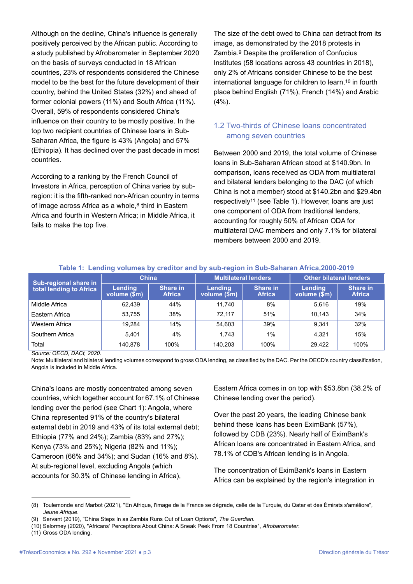Although on the decline, China's influence is generally positively perceived by the African public. According to a study published by Afrobarometer in September 2020 on the basis of surveys conducted in 18 African countries, 23% of respondents considered the Chinese model to be the best for the future development of their country, behind the United States (32%) and ahead of former colonial powers (11%) and South Africa (11%). Overall, 59% of respondents considered China's influence on their country to be mostly positive. In the top two recipient countries of Chinese loans in Sub-Saharan Africa, the figure is 43% (Angola) and 57% (Ethiopia). It has declined over the past decade in most countries.

According to a ranking by the French Council of Investors in Africa, perception of China varies by subregion: it is the fifth-ranked non-African country in terms of image across Africa as a whole, $8$  third in Eastern Africa and fourth in Western Africa; in Middle Africa, it fails to make the top five.

The size of the debt owed to China can detract from its image, as demonstrated by the 2018 protests in Zambia.9 Despite the proliferation of Confucius Institutes (58 locations across 43 countries in 2018), only 2% of Africans consider Chinese to be the best international language for children to learn,<sup>10</sup> in fourth place behind English (71%), French (14%) and Arabic (4%).

# 1.2 Two-thirds of Chinese loans concentrated among seven countries

Between 2000 and 2019, the total volume of Chinese loans in Sub-Saharan African stood at \$140.9bn. In comparison, loans received as ODA from multilateral and bilateral lenders belonging to the DAC (of which China is not a member) stood at \$140.2bn and \$29.4bn respectively11 (see Table 1). However, loans are just one component of ODA from traditional lenders, accounting for roughly 50% of African ODA for multilateral DAC members and only 7.1% for bilateral members between 2000 and 2019.

| Sub-regional share in<br>total lending to Africa | <b>China</b>                   |                           | <b>Multilateral lenders</b> |                           | <b>Other bilateral lenders</b> |                           |
|--------------------------------------------------|--------------------------------|---------------------------|-----------------------------|---------------------------|--------------------------------|---------------------------|
|                                                  | <b>Lendina</b><br>volume (\$m) | Share in<br><b>Africa</b> | Lendina<br>volume (\$m)     | Share in<br><b>Africa</b> | <b>Lendina</b><br>volume (\$m) | Share in<br><b>Africa</b> |
| Middle Africa                                    | 62.439                         | 44%                       | 11.740                      | 8%                        | 5.616                          | 19%                       |
| Eastern Africa                                   | 53.755                         | 38%                       | 72.117                      | 51%                       | 10.143                         | 34%                       |
| Western Africa                                   | 19.284                         | 14%                       | 54.603                      | 39%                       | 9.341                          | 32%                       |
| Southern Africa                                  | 5.401                          | 4%                        | 1.743                       | $1\%$                     | 4.321                          | 15%                       |
| Total                                            | 140.878                        | 100%                      | 140.203                     | 100%                      | 29.422                         | 100%                      |

#### **Table 1: Lending volumes by creditor and by sub-region in Sub-Saharan Africa,2000-2019**

*Source: OECD, DACt, 2020.*

Note: Multilateral and bilateral lending volumes correspond to gross ODA lending, as classified by the DAC. Per the OECD's country classification, Angola is included in Middle Africa.

China's loans are mostly concentrated among seven countries, which together account for 67.1% of Chinese lending over the period (see Chart 1): Angola, where China represented 91% of the country's bilateral external debt in 2019 and 43% of its total external debt; Ethiopia (77% and 24%); Zambia (83% and 27%); Kenya (73% and 25%); Nigeria (82% and 11%); Cameroon (66% and 34%); and Sudan (16% and 8%). At sub-regional level, excluding Angola (which accounts for 30.3% of Chinese lending in Africa),

Eastern Africa comes in on top with \$53.8bn (38.2% of Chinese lending over the period).

Over the past 20 years, the leading Chinese bank behind these loans has been EximBank (57%), followed by CDB (23%). Nearly half of EximBank's African loans are concentrated in Eastern Africa, and 78.1% of CDB's African lending is in Angola.

The concentration of EximBank's loans in Eastern Africa can be explained by the region's integration in

<sup>(8)</sup> Toulemonde and Marbot (2021), "En Afrique, l'image de la France se dégrade, celle de la Turquie, du Qatar et des Émirats s'améliore", *Jeune Afrique*.

<sup>(9)</sup> Servant (2019), "China Steps In as Zambia Runs Out of Loan Options", *The Guardian*.

<sup>(10)</sup> Selormey (2020), "Africans' Perceptions About China: A Sneak Peek From 18 Countries", *Afrobarometer*.

<sup>(11)</sup> Gross ODA lending.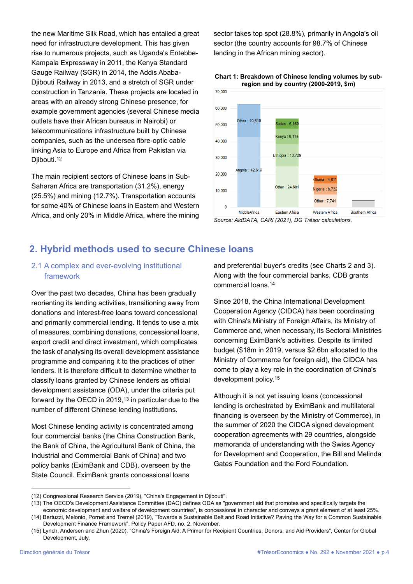the new Maritime Silk Road, which has entailed a great need for infrastructure development. This has given rise to numerous projects, such as Uganda's Entebbe-Kampala Expressway in 2011, the Kenya Standard Gauge Railway (SGR) in 2014, the Addis Ababa-Djibouti Railway in 2013, and a stretch of SGR under construction in Tanzania. These projects are located in areas with an already strong Chinese presence, for example government agencies (several Chinese media outlets have their African bureaus in Nairobi) or telecommunications infrastructure built by Chinese companies, such as the undersea fibre-optic cable linking Asia to Europe and Africa from Pakistan via Djibouti.<sup>12</sup>

The main recipient sectors of Chinese loans in Sub-Saharan Africa are transportation (31.2%), energy (25.5%) and mining (12.7%). Transportation accounts for some 40% of Chinese loans in Eastern and Western Africa, and only 20% in Middle Africa, where the mining

sector takes top spot (28.8%), primarily in Angola's oil sector (the country accounts for 98.7% of Chinese lending in the African mining sector).





*Source: AidDATA, CARI (2021), DG Trésor calculations.*

# **2. Hybrid methods used to secure Chinese loans**

# 2.1 A complex and ever-evolving institutional framework

Over the past two decades, China has been gradually reorienting its lending activities, transitioning away from donations and interest-free loans toward concessional and primarily commercial lending. It tends to use a mix of measures, combining donations, concessional loans, export credit and direct investment, which complicates the task of analysing its overall development assistance programme and comparing it to the practices of other lenders. It is therefore difficult to determine whether to classify loans granted by Chinese lenders as official development assistance (ODA), under the criteria put forward by the OECD in 2019,<sup>13</sup> in particular due to the number of different Chinese lending institutions.

Most Chinese lending activity is concentrated among four commercial banks (the China Construction Bank, the Bank of China, the Agricultural Bank of China, the Industrial and Commercial Bank of China) and two policy banks (EximBank and CDB), overseen by the State Council. EximBank grants concessional loans

and preferential buyer's credits (see Charts 2 and 3). Along with the four commercial banks, CDB grants commercial loans.14

Since 2018, the China International Development Cooperation Agency (CIDCA) has been coordinating with China's Ministry of Foreign Affairs, its Ministry of Commerce and, when necessary, its Sectoral Ministries concerning EximBank's activities. Despite its limited budget (\$18m in 2019, versus \$2.6bn allocated to the Ministry of Commerce for foreign aid), the CIDCA has come to play a key role in the coordination of China's development policy.15

Although it is not yet issuing loans (concessional lending is orchestrated by EximBank and multilateral financing is overseen by the Ministry of Commerce), in the summer of 2020 the CIDCA signed development cooperation agreements with 29 countries, alongside memoranda of understanding with the Swiss Agency for Development and Cooperation, the Bill and Melinda Gates Foundation and the Ford Foundation.

<sup>(12)</sup> Congressional Research Service (2019), "China's Engagement in Djibouti".

<sup>(13)</sup> The OECD's Development Assistance Committee (DAC) defines ODA as "government aid that promotes and specifically targets the economic development and welfare of development countries", is concessional in character and conveys a grant element of at least 25%.

<sup>(14)</sup> Bertuzzi, Melonio, Pornet and Tremel (2019), "Towards a Sustainable Belt and Road Initiative? Paving the Way for a Common Sustainable Development Finance Framework", Policy Paper AFD, no. 2, November.

<sup>(15)</sup> Lynch, Andersen and Zhun (2020), "China's Foreign Aid: A Primer for Recipient Countries, Donors, and Aid Providers", Center for Global Development, July.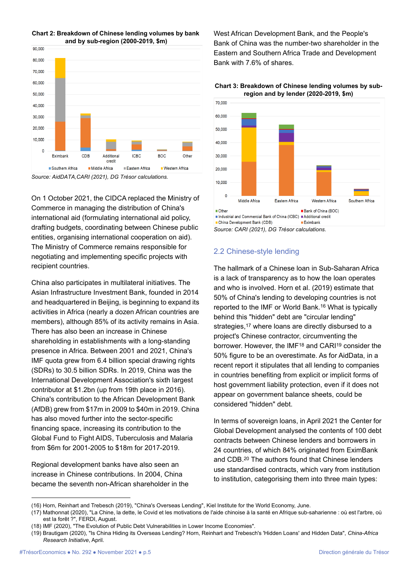

**Chart 2: Breakdown of Chinese lending volumes by bank and by sub-region (2000-2019, \$m)**

*Source: AidDATA,CARI (2021), DG Trésor calculations.*

On 1 October 2021, the CIDCA replaced the Ministry of Commerce in managing the distribution of China's international aid (formulating international aid policy, drafting budgets, coordinating between Chinese public entities, organising international cooperation on aid). The Ministry of Commerce remains responsible for negotiating and implementing specific projects with recipient countries.

China also participates in multilateral initiatives. The Asian Infrastructure Investment Bank, founded in 2014 and headquartered in Beijing, is beginning to expand its activities in Africa (nearly a dozen African countries are members), although 85% of its activity remains in Asia. There has also been an increase in Chinese shareholding in establishments with a long-standing presence in Africa. Between 2001 and 2021, China's IMF quota grew from 6.4 billion special drawing rights (SDRs) to 30.5 billion SDRs. In 2019, China was the International Development Association's sixth largest contributor at \$1.2bn (up from 19th place in 2016). China's contribution to the African Development Bank (AfDB) grew from \$17m in 2009 to \$40m in 2019. China has also moved further into the sector-specific financing space, increasing its contribution to the Global Fund to Fight AIDS, Tuberculosis and Malaria from \$6m for 2001-2005 to \$18m for 2017-2019.

Regional development banks have also seen an increase in Chinese contributions. In 2004, China became the seventh non-African shareholder in the West African Development Bank, and the People's Bank of China was the number-two shareholder in the Eastern and Southern Africa Trade and Development Bank with 7.6% of shares.





*Source: CARI (2021), DG Trésor calculations.*

#### 2.2 Chinese-style lending

The hallmark of a Chinese loan in Sub-Saharan Africa is a lack of transparency as to how the loan operates and who is involved. Horn et al. (2019) estimate that 50% of China's lending to developing countries is not reported to the IMF or World Bank.16 What is typically behind this "hidden" debt are "circular lending" strategies,<sup>17</sup> where loans are directly disbursed to a project's Chinese contractor, circumventing the borrower. However, the IMF18 and CARI19 consider the 50% figure to be an overestimate. As for AidData, in a recent report it stipulates that all lending to companies in countries benefiting from explicit or implicit forms of host government liability protection, even if it does not appear on government balance sheets, could be considered "hidden" debt.

In terms of sovereign loans, in April 2021 the Center for Global Development analysed the contents of 100 debt contracts between Chinese lenders and borrowers in 24 countries, of which 84% originated from EximBank and CDB.20 The authors found that Chinese lenders use standardised contracts, which vary from institution to institution, categorising them into three main types:

<sup>(16)</sup> Horn, Reinhart and Trebesch (2019), "China's Overseas Lending", Kiel Institute for the World Economy, June.

<sup>(17)</sup> Mathonnat (2020), "La Chine, la dette, le Covid et les motivations de l'aide chinoise à la santé en Afrique sub-saharienne : où est l'arbre, où est la forêt ?", FERDI, August.

<sup>(18)</sup> IMF (2020), "The Evolution of Public Debt Vulnerabilities in Lower Income Economies".

<sup>(19)</sup> Brautigam (2020), "Is China Hiding its Overseas Lending? Horn, Reinhart and Trebesch's 'Hidden Loans' and Hidden Data", *China-Africa Research Initiative*, April.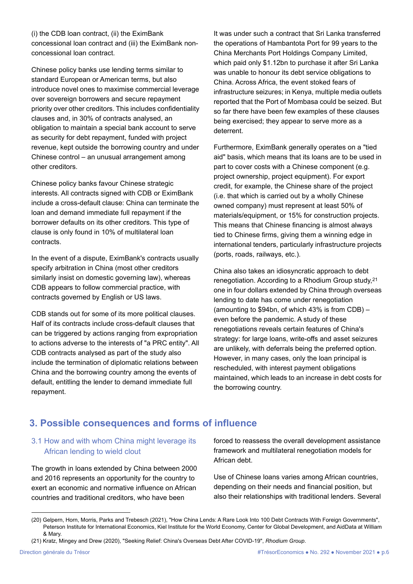(i) the CDB loan contract, (ii) the EximBank concessional loan contract and (iii) the EximBank nonconcessional loan contract.

Chinese policy banks use lending terms similar to standard European or American terms, but also introduce novel ones to maximise commercial leverage over sovereign borrowers and secure repayment priority over other creditors. This includes confidentiality clauses and, in 30% of contracts analysed, an obligation to maintain a special bank account to serve as security for debt repayment, funded with project revenue, kept outside the borrowing country and under Chinese control – an unusual arrangement among other creditors.

Chinese policy banks favour Chinese strategic interests. All contracts signed with CDB or EximBank include a cross-default clause: China can terminate the loan and demand immediate full repayment if the borrower defaults on its other creditors. This type of clause is only found in 10% of multilateral loan contracts.

In the event of a dispute, EximBank's contracts usually specify arbitration in China (most other creditors similarly insist on domestic governing law), whereas CDB appears to follow commercial practice, with contracts governed by English or US laws.

CDB stands out for some of its more political clauses. Half of its contracts include cross-default clauses that can be triggered by actions ranging from expropriation to actions adverse to the interests of "a PRC entity". All CDB contracts analysed as part of the study also include the termination of diplomatic relations between China and the borrowing country among the events of default, entitling the lender to demand immediate full repayment.

It was under such a contract that Sri Lanka transferred the operations of Hambantota Port for 99 years to the China Merchants Port Holdings Company Limited, which paid only \$1.12bn to purchase it after Sri Lanka was unable to honour its debt service obligations to China. Across Africa, the event stoked fears of infrastructure seizures; in Kenya, multiple media outlets reported that the Port of Mombasa could be seized. But so far there have been few examples of these clauses being exercised; they appear to serve more as a deterrent.

Furthermore, EximBank generally operates on a "tied aid" basis, which means that its loans are to be used in part to cover costs with a Chinese component (e.g. project ownership, project equipment). For export credit, for example, the Chinese share of the project (i.e. that which is carried out by a wholly Chinese owned company) must represent at least 50% of materials/equipment, or 15% for construction projects. This means that Chinese financing is almost always tied to Chinese firms, giving them a winning edge in international tenders, particularly infrastructure projects (ports, roads, railways, etc.).

China also takes an idiosyncratic approach to debt renegotiation. According to a Rhodium Group study,21 one in four dollars extended by China through overseas lending to date has come under renegotiation (amounting to \$94bn, of which 43% is from CDB) – even before the pandemic. A study of these renegotiations reveals certain features of China's strategy: for large loans, write-offs and asset seizures are unlikely, with deferrals being the preferred option. However, in many cases, only the loan principal is rescheduled, with interest payment obligations maintained, which leads to an increase in debt costs for the borrowing country.

# **3. Possible consequences and forms of influence**

# 3.1 How and with whom China might leverage its African lending to wield clout

The growth in loans extended by China between 2000 and 2016 represents an opportunity for the country to exert an economic and normative influence on African countries and traditional creditors, who have been

forced to reassess the overall development assistance framework and multilateral renegotiation models for African debt.

Use of Chinese loans varies among African countries, depending on their needs and financial position, but also their relationships with traditional lenders. Several

<sup>(20)</sup> Gelpern, Horn, Morris, Parks and Trebesch (2021), "How China Lends: A Rare Look Into 100 Debt Contracts With Foreign Governments", Peterson Institute for International Economics, Kiel Institute for the World Economy, Center for Global Development, and AidData at William & Mary.

<sup>(21)</sup> Kratz, Mingey and Drew (2020), "Seeking Relief: China's Overseas Debt After COVID-19", *Rhodium Group*.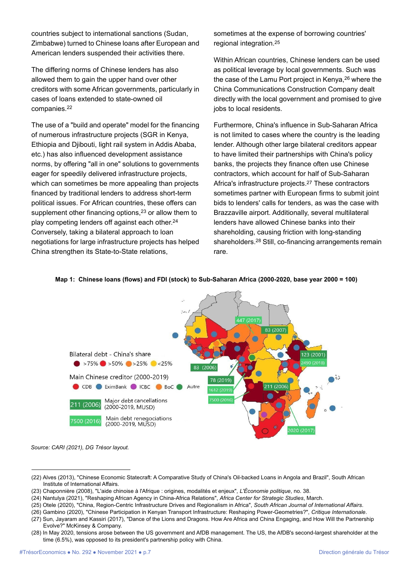countries subject to international sanctions (Sudan, Zimbabwe) turned to Chinese loans after European and American lenders suspended their activities there.

The differing norms of Chinese lenders has also allowed them to gain the upper hand over other creditors with some African governments, particularly in cases of loans extended to state-owned oil companies.22

The use of a "build and operate" model for the financing of numerous infrastructure projects (SGR in Kenya, Ethiopia and Djibouti, light rail system in Addis Ababa, etc.) has also influenced development assistance norms, by offering "all in one" solutions to governments eager for speedily delivered infrastructure projects, which can sometimes be more appealing than projects financed by traditional lenders to address short-term political issues. For African countries, these offers can supplement other financing options,<sup>23</sup> or allow them to play competing lenders off against each other.24 Conversely, taking a bilateral approach to loan negotiations for large infrastructure projects has helped China strengthen its State-to-State relations,

sometimes at the expense of borrowing countries' regional integration.25

Within African countries, Chinese lenders can be used as political leverage by local governments. Such was the case of the Lamu Port project in Kenya,<sup>26</sup> where the China Communications Construction Company dealt directly with the local government and promised to give jobs to local residents.

Furthermore, China's influence in Sub-Saharan Africa is not limited to cases where the country is the leading lender. Although other large bilateral creditors appear to have limited their partnerships with China's policy banks, the projects they finance often use Chinese contractors, which account for half of Sub-Saharan Africa's infrastructure projects.27 These contractors sometimes partner with European firms to submit joint bids to lenders' calls for tenders, as was the case with Brazzaville airport. Additionally, several multilateral lenders have allowed Chinese banks into their shareholding, causing friction with long-standing shareholders.28 Still, co-financing arrangements remain rare.



#### **Map 1: Chinese loans (flows) and FDI (stock) to Sub-Saharan Africa (2000-2020, base year 2000 = 100)**

*Source: CARI (2021), DG Trésor layout.*

<sup>(22)</sup> Alves (2013), "Chinese Economic Statecraft: A Comparative Study of China's Oil-backed Loans in Angola and Brazil", South African Institute of International Affairs.

<sup>(23)</sup> Chaponnière (2008), "L'aide chinoise à l'Afrique : origines, modalités et enjeux", *L'Économie politique*, no. 38.

<sup>(24)</sup> Nantulya (2021), "Reshaping African Agency in China-Africa Relations", *Africa Center for Strategic Studies*, March.

<sup>(25)</sup> Otele (2020), "China, Region-Centric Infrastructure Drives and Regionalism in Africa", *South African Journal of International Affairs*.

<sup>(26)</sup> Gambino (2020), "Chinese Participation in Kenyan Transport Infrastructure: Reshaping Power-Geometries?", *Critique Internationale*.

<sup>(27)</sup> Sun, Jayaram and Kassiri (2017), "Dance of the Lions and Dragons. How Are Africa and China Engaging, and How Will the Partnership Evolve?" McKinsey & Company.

<sup>(28)</sup> In May 2020, tensions arose between the US government and AfDB management. The US, the AfDB's second-largest shareholder at the time (6.5%), was opposed to its president's partnership policy with China.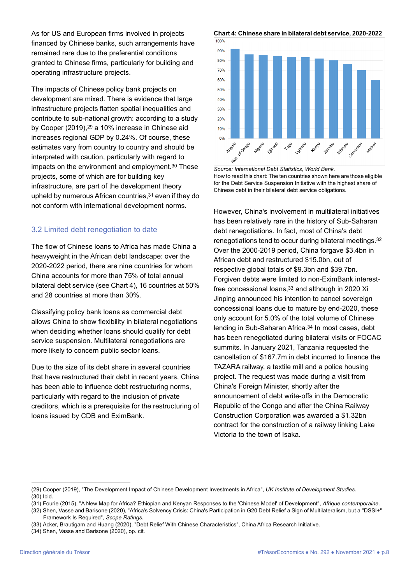As for US and European firms involved in projects financed by Chinese banks, such arrangements have remained rare due to the preferential conditions granted to Chinese firms, particularly for building and operating infrastructure projects.

The impacts of Chinese policy bank projects on development are mixed. There is evidence that large infrastructure projects flatten spatial inequalities and contribute to sub-national growth: according to a study by Cooper (2019),29 a 10% increase in Chinese aid increases regional GDP by 0.24%. Of course, these estimates vary from country to country and should be interpreted with caution, particularly with regard to impacts on the environment and employment.<sup>30</sup> These projects, some of which are for building key infrastructure, are part of the development theory upheld by numerous African countries,  $31$  even if they do not conform with international development norms.

### 3.2 Limited debt renegotiation to date

The flow of Chinese loans to Africa has made China a heavyweight in the African debt landscape: over the 2020-2022 period, there are nine countries for whom China accounts for more than 75% of total annual bilateral debt service (see Chart 4), 16 countries at 50% and 28 countries at more than 30%.

Classifying policy bank loans as commercial debt allows China to show flexibility in bilateral negotiations when deciding whether loans should qualify for debt service suspension. Multilateral renegotiations are more likely to concern public sector loans.

Due to the size of its debt share in several countries that have restructured their debt in recent years, China has been able to influence debt restructuring norms, particularly with regard to the inclusion of private creditors, which is a prerequisite for the restructuring of loans issued by CDB and EximBank.

**Chart 4: Chinese share in bilateral debt service, 2020-2022** 



*Source: International Debt Statistics, World Bank.* How to read this chart: The ten countries shown here are those eligible for the Debt Service Suspension Initiative with the highest share of Chinese debt in their bilateral debt service obligations.

However, China's involvement in multilateral initiatives has been relatively rare in the history of Sub-Saharan debt renegotiations. In fact, most of China's debt renegotiations tend to occur during bilateral meetings.32 Over the 2000-2019 period, China forgave \$3.4bn in African debt and restructured \$15.0bn, out of respective global totals of \$9.3bn and \$39.7bn. Forgiven debts were limited to non-EximBank interestfree concessional loans, 33 and although in 2020 Xi Jinping announced his intention to cancel sovereign concessional loans due to mature by end-2020, these only account for 5.0% of the total volume of Chinese lending in Sub-Saharan Africa.34 In most cases, debt has been renegotiated during bilateral visits or FOCAC summits. In January 2021, Tanzania requested the cancellation of \$167.7m in debt incurred to finance the TAZARA railway, a textile mill and a police housing project. The request was made during a visit from China's Foreign Minister, shortly after the announcement of debt write-offs in the Democratic Republic of the Congo and after the China Railway Construction Corporation was awarded a \$1.32bn contract for the construction of a railway linking Lake Victoria to the town of Isaka.

(34) Shen, Vasse and Barisone (2020), op. cit.

<sup>(29)</sup> Cooper (2019), "The Development Impact of Chinese Development Investments in Africa", *UK Institute of Development Studies*. (30) Ibid.

<sup>(31)</sup> Fourie (2015), "A New Map for Africa? Ethiopian and Kenyan Responses to the 'Chinese Model' of Development", *Afrique contemporaine*.

<sup>(32)</sup> Shen, Vasse and Barisone (2020), "Africa's Solvency Crisis: China's Participation in G20 Debt Relief a Sign of Multilateralism, but a "DSSI+" Framework Is Required", *Scope Ratings*.

<sup>(33)</sup> Acker, Brautigam and Huang (2020), "Debt Relief With Chinese Characteristics", China Africa Research Initiative.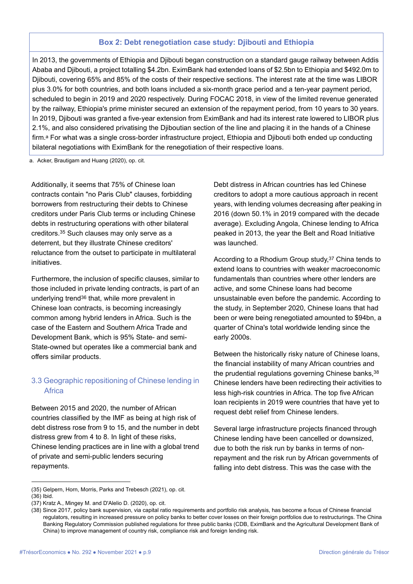#### **Box 2: Debt renegotiation case study: Djibouti and Ethiopia**

In 2013, the governments of Ethiopia and Djibouti began construction on a standard gauge railway between Addis Ababa and Djibouti, a project totalling \$4.2bn. EximBank had extended loans of \$2.5bn to Ethiopia and \$492.0m to Djibouti, covering 65% and 85% of the costs of their respective sections. The interest rate at the time was LIBOR plus 3.0% for both countries, and both loans included a six-month grace period and a ten-year payment period, scheduled to begin in 2019 and 2020 respectively. During FOCAC 2018, in view of the limited revenue generated by the railway, Ethiopia's prime minister secured an extension of the repayment period, from 10 years to 30 years. In 2019, Djibouti was granted a five-year extension from EximBank and had its interest rate lowered to LIBOR plus 2.1%, and also considered privatising the Djiboutian section of the line and placing it in the hands of a Chinese firm.a For what was a single cross-border infrastructure project, Ethiopia and Djibouti both ended up conducting bilateral negotiations with EximBank for the renegotiation of their respective loans.

a. Acker, Brautigam and Huang (2020), op. cit.

Additionally, it seems that 75% of Chinese loan contracts contain "no Paris Club" clauses, forbidding borrowers from restructuring their debts to Chinese creditors under Paris Club terms or including Chinese debts in restructuring operations with other bilateral creditors.35 Such clauses may only serve as a deterrent, but they illustrate Chinese creditors' reluctance from the outset to participate in multilateral initiatives.

Furthermore, the inclusion of specific clauses, similar to those included in private lending contracts, is part of an underlying trend36 that, while more prevalent in Chinese loan contracts, is becoming increasingly common among hybrid lenders in Africa. Such is the case of the Eastern and Southern Africa Trade and Development Bank, which is 95% State- and semi-State-owned but operates like a commercial bank and offers similar products.

# 3.3 Geographic repositioning of Chinese lending in **Africa**

Between 2015 and 2020, the number of African countries classified by the IMF as being at high risk of debt distress rose from 9 to 15, and the number in debt distress grew from 4 to 8. In light of these risks, Chinese lending practices are in line with a global trend of private and semi-public lenders securing repayments.

Debt distress in African countries has led Chinese creditors to adopt a more cautious approach in recent years, with lending volumes decreasing after peaking in 2016 (down 50.1% in 2019 compared with the decade average). Excluding Angola, Chinese lending to Africa peaked in 2013, the year the Belt and Road Initiative was launched.

According to a Rhodium Group study,37 China tends to extend loans to countries with weaker macroeconomic fundamentals than countries where other lenders are active, and some Chinese loans had become unsustainable even before the pandemic. According to the study, in September 2020, Chinese loans that had been or were being renegotiated amounted to \$94bn, a quarter of China's total worldwide lending since the early 2000s.

Between the historically risky nature of Chinese loans, the financial instability of many African countries and the prudential regulations governing Chinese banks, 38 Chinese lenders have been redirecting their activities to less high-risk countries in Africa. The top five African loan recipients in 2019 were countries that have yet to request debt relief from Chinese lenders.

Several large infrastructure projects financed through Chinese lending have been cancelled or downsized, due to both the risk run by banks in terms of nonrepayment and the risk run by African governments of falling into debt distress. This was the case with the

<sup>(35)</sup> Gelpern, Horn, Morris, Parks and Trebesch (2021), op. cit.

<sup>(36)</sup> Ibid.

<sup>(37)</sup> Kratz A., Mingey M. and D'Alelio D. (2020), op. cit.

<sup>(38)</sup> Since 2017, policy bank supervision, via capital ratio requirements and portfolio risk analysis, has become a focus of Chinese financial regulators, resulting in increased pressure on policy banks to better cover losses on their foreign portfolios due to restructurings. The China Banking Regulatory Commission published regulations for three public banks (CDB, EximBank and the Agricultural Development Bank of China) to improve management of country risk, compliance risk and foreign lending risk.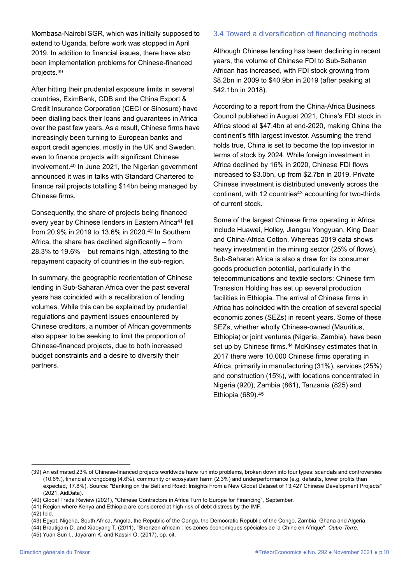Mombasa-Nairobi SGR, which was initially supposed to extend to Uganda, before work was stopped in April 2019. In addition to financial issues, there have also been implementation problems for Chinese-financed projects.39

After hitting their prudential exposure limits in several countries, EximBank, CDB and the China Export & Credit Insurance Corporation (CECI or Sinosure) have been dialling back their loans and guarantees in Africa over the past few years. As a result, Chinese firms have increasingly been turning to European banks and export credit agencies, mostly in the UK and Sweden, even to finance projects with significant Chinese involvement.40 In June 2021, the Nigerian government announced it was in talks with Standard Chartered to finance rail projects totalling \$14bn being managed by Chinese firms.

Consequently, the share of projects being financed every year by Chinese lenders in Eastern Africa<sup>41</sup> fell from 20.9% in 2019 to 13.6% in 2020.42 In Southern Africa, the share has declined significantly – from 28.3% to 19.6% – but remains high, attesting to the repayment capacity of countries in the sub-region.

In summary, the geographic reorientation of Chinese lending in Sub-Saharan Africa over the past several years has coincided with a recalibration of lending volumes. While this can be explained by prudential regulations and payment issues encountered by Chinese creditors, a number of African governments also appear to be seeking to limit the proportion of Chinese-financed projects, due to both increased budget constraints and a desire to diversify their partners.

### 3.4 Toward a diversification of financing methods

Although Chinese lending has been declining in recent years, the volume of Chinese FDI to Sub-Saharan African has increased, with FDI stock growing from \$8.2bn in 2009 to \$40.9bn in 2019 (after peaking at \$42.1bn in 2018).

According to a report from the China-Africa Business Council published in August 2021, China's FDI stock in Africa stood at \$47.4bn at end-2020, making China the continent's fifth largest investor. Assuming the trend holds true, China is set to become the top investor in terms of stock by 2024. While foreign investment in Africa declined by 16% in 2020, Chinese FDI flows increased to \$3.0bn, up from \$2.7bn in 2019. Private Chinese investment is distributed unevenly across the continent, with 12 countries<sup>43</sup> accounting for two-thirds of current stock.

Some of the largest Chinese firms operating in Africa include Huawei, Holley, Jiangsu Yongyuan, King Deer and China-Africa Cotton. Whereas 2019 data shows heavy investment in the mining sector (25% of flows), Sub-Saharan Africa is also a draw for its consumer goods production potential, particularly in the telecommunications and textile sectors: Chinese firm Transsion Holding has set up several production facilities in Ethiopia. The arrival of Chinese firms in Africa has coincided with the creation of several special economic zones (SEZs) in recent years. Some of these SEZs, whether wholly Chinese-owned (Mauritius, Ethiopia) or joint ventures (Nigeria, Zambia), have been set up by Chinese firms.<sup>44</sup> McKinsey estimates that in 2017 there were 10,000 Chinese firms operating in Africa, primarily in manufacturing (31%), services (25%) and construction (15%), with locations concentrated in Nigeria (920), Zambia (861), Tanzania (825) and Ethiopia (689).45

<sup>(39)</sup> An estimated 23% of Chinese-financed projects worldwide have run into problems, broken down into four types: scandals and controversies (10.6%), financial wrongdoing (4.6%), community or ecosystem harm (2.3%) and underperformance (e.g. defaults, lower profits than expected, 17.8%). Source: "Banking on the Belt and Road: Insights From a New Global Dataset of 13,427 Chinese Development Projects" (2021, AidData).

<sup>(40)</sup> Global Trade Review (2021), "Chinese Contractors in Africa Turn to Europe for Financing", September.

<sup>(41)</sup> Region where Kenya and Ethiopia are considered at high risk of debt distress by the IMF.

<sup>(42)</sup> Ibid.

<sup>(43)</sup> Egypt, Nigeria, South Africa, Angola, the Republic of the Congo, the Democratic Republic of the Congo, Zambia, Ghana and Algeria.

<sup>(44)</sup> Brautigam D. and Xiaoyang T. (2011), "Shenzen africain : les zones économiques spéciales de la Chine en Afrique", *Outre-Terre*.

<sup>(45)</sup> Yuan Sun I., Jayaram K. and Kassiri O. (2017), op. cit.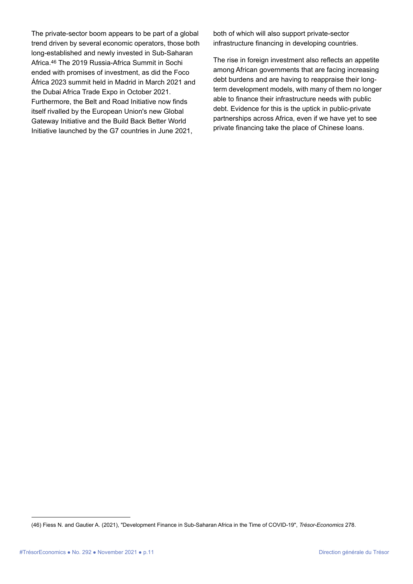The private-sector boom appears to be part of a global trend driven by several economic operators, those both long-established and newly invested in Sub-Saharan Africa.46 The 2019 Russia-Africa Summit in Sochi ended with promises of investment, as did the Foco África 2023 summit held in Madrid in March 2021 and the Dubai Africa Trade Expo in October 2021. Furthermore, the Belt and Road Initiative now finds itself rivalled by the European Union's new Global Gateway Initiative and the Build Back Better World Initiative launched by the G7 countries in June 2021,

both of which will also support private-sector infrastructure financing in developing countries.

The rise in foreign investment also reflects an appetite among African governments that are facing increasing debt burdens and are having to reappraise their longterm development models, with many of them no longer able to finance their infrastructure needs with public debt. Evidence for this is the uptick in public-private partnerships across Africa, even if we have yet to see private financing take the place of Chinese loans.

<sup>(46)</sup> Fiess N. and Gautier A. (2021), "Development Finance in Sub-Saharan Africa in the Time of COVID-19", *Trésor-Economics* 278.